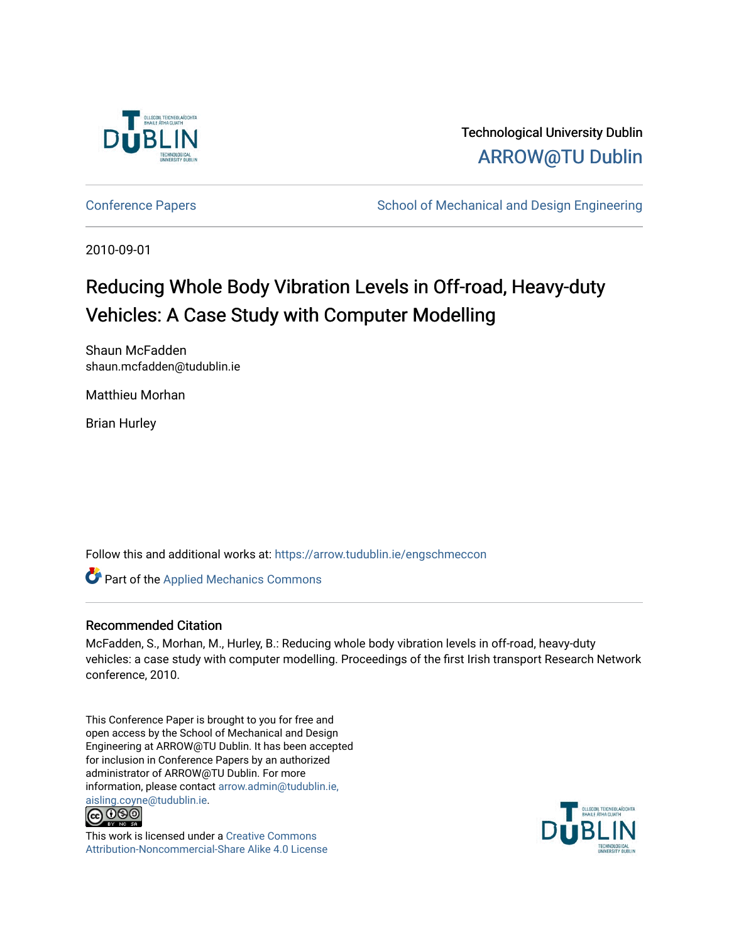

Technological University Dublin [ARROW@TU Dublin](https://arrow.tudublin.ie/) 

[Conference Papers](https://arrow.tudublin.ie/engschmeccon) **School of Mechanical and Design Engineering** School of Mechanical and Design Engineering

2010-09-01

# Reducing Whole Body Vibration Levels in Off-road, Heavy-duty Vehicles: A Case Study with Computer Modelling

Shaun McFadden shaun.mcfadden@tudublin.ie

Matthieu Morhan

Brian Hurley

Follow this and additional works at: [https://arrow.tudublin.ie/engschmeccon](https://arrow.tudublin.ie/engschmeccon?utm_source=arrow.tudublin.ie%2Fengschmeccon%2F52&utm_medium=PDF&utm_campaign=PDFCoverPages) 

**Part of the [Applied Mechanics Commons](http://network.bepress.com/hgg/discipline/295?utm_source=arrow.tudublin.ie%2Fengschmeccon%2F52&utm_medium=PDF&utm_campaign=PDFCoverPages)** 

#### Recommended Citation

McFadden, S., Morhan, M., Hurley, B.: Reducing whole body vibration levels in off-road, heavy-duty vehicles: a case study with computer modelling. Proceedings of the first Irish transport Research Network conference, 2010.

This Conference Paper is brought to you for free and open access by the School of Mechanical and Design Engineering at ARROW@TU Dublin. It has been accepted for inclusion in Conference Papers by an authorized administrator of ARROW@TU Dublin. For more information, please contact [arrow.admin@tudublin.ie,](mailto:arrow.admin@tudublin.ie,%20aisling.coyne@tudublin.ie)  [aisling.coyne@tudublin.ie.](mailto:arrow.admin@tudublin.ie,%20aisling.coyne@tudublin.ie)<br>© 090



This work is licensed under a [Creative Commons](http://creativecommons.org/licenses/by-nc-sa/4.0/) [Attribution-Noncommercial-Share Alike 4.0 License](http://creativecommons.org/licenses/by-nc-sa/4.0/)

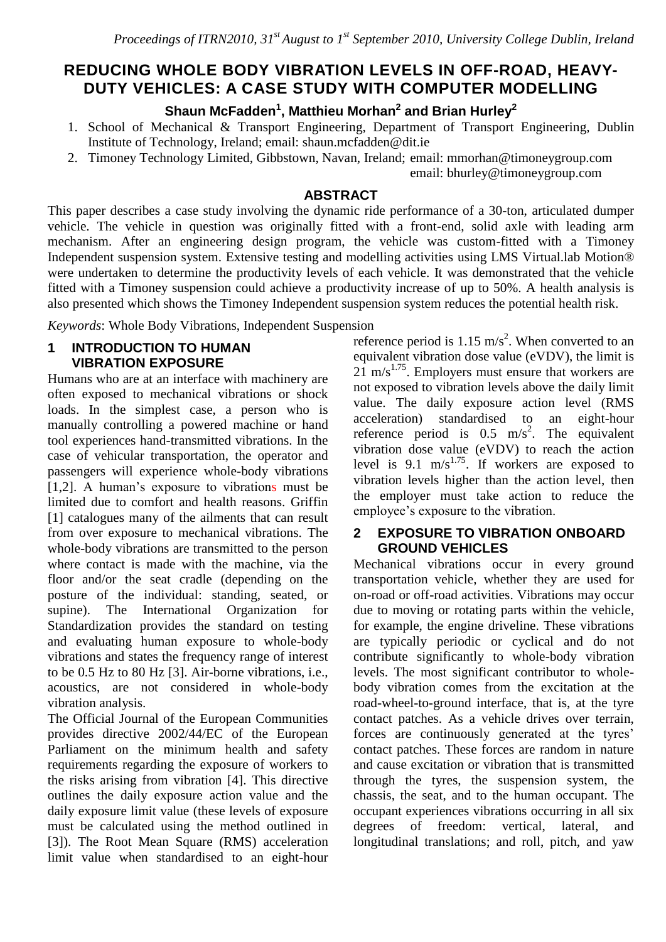## **REDUCING WHOLE BODY VIBRATION LEVELS IN OFF-ROAD, HEAVY-DUTY VEHICLES: A CASE STUDY WITH COMPUTER MODELLING**

**Shaun McFadden<sup>1</sup> , Matthieu Morhan<sup>2</sup> and Brian Hurley<sup>2</sup>**

- 1. School of Mechanical & Transport Engineering, Department of Transport Engineering, Dublin Institute of Technology, Ireland; email: shaun.mcfadden@dit.ie
- 2. Timoney Technology Limited, Gibbstown, Navan, Ireland; email: mmorhan@timoneygroup.com

email: bhurley@timoneygroup.com

#### **ABSTRACT**

This paper describes a case study involving the dynamic ride performance of a 30-ton, articulated dumper vehicle. The vehicle in question was originally fitted with a front-end, solid axle with leading arm mechanism. After an engineering design program, the vehicle was custom-fitted with a Timoney Independent suspension system. Extensive testing and modelling activities using LMS Virtual.lab Motion® were undertaken to determine the productivity levels of each vehicle. It was demonstrated that the vehicle fitted with a Timoney suspension could achieve a productivity increase of up to 50%. A health analysis is also presented which shows the Timoney Independent suspension system reduces the potential health risk.

*Keywords*: Whole Body Vibrations, Independent Suspension

#### **1 INTRODUCTION TO HUMAN VIBRATION EXPOSURE**

Humans who are at an interface with machinery are often exposed to mechanical vibrations or shock loads. In the simplest case, a person who is manually controlling a powered machine or hand tool experiences hand-transmitted vibrations. In the case of vehicular transportation, the operator and passengers will experience whole-body vibrations [1,2]. A human's exposure to vibrations must be limited due to comfort and health reasons. Griffin [1] catalogues many of the ailments that can result from over exposure to mechanical vibrations. The whole-body vibrations are transmitted to the person where contact is made with the machine, via the floor and/or the seat cradle (depending on the posture of the individual: standing, seated, or supine). The International Organization for Standardization provides the standard on testing and evaluating human exposure to whole-body vibrations and states the frequency range of interest to be 0.5 Hz to 80 Hz [3]. Air-borne vibrations, i.e., acoustics, are not considered in whole-body vibration analysis.

The Official Journal of the European Communities provides directive 2002/44/EC of the European Parliament on the minimum health and safety requirements regarding the exposure of workers to the risks arising from vibration [4]. This directive outlines the daily exposure action value and the daily exposure limit value (these levels of exposure must be calculated using the method outlined in [3]). The Root Mean Square (RMS) acceleration limit value when standardised to an eight-hour

reference period is  $1.15 \text{ m/s}^2$ . When converted to an equivalent vibration dose value (eVDV), the limit is  $21 \text{ m/s}^{1.75}$ . Employers must ensure that workers are not exposed to vibration levels above the daily limit value. The daily exposure action level (RMS acceleration) standardised to an eight-hour reference period is  $0.5 \text{ m/s}^2$ . The equivalent vibration dose value (eVDV) to reach the action level is 9.1 m/s<sup>1.75</sup>. If workers are exposed to vibration levels higher than the action level, then the employer must take action to reduce the employee's exposure to the vibration.

#### **2 EXPOSURE TO VIBRATION ONBOARD GROUND VEHICLES**

Mechanical vibrations occur in every ground transportation vehicle, whether they are used for on-road or off-road activities. Vibrations may occur due to moving or rotating parts within the vehicle, for example, the engine driveline. These vibrations are typically periodic or cyclical and do not contribute significantly to whole-body vibration levels. The most significant contributor to wholebody vibration comes from the excitation at the road-wheel-to-ground interface, that is, at the tyre contact patches. As a vehicle drives over terrain, forces are continuously generated at the tyres' contact patches. These forces are random in nature and cause excitation or vibration that is transmitted through the tyres, the suspension system, the chassis, the seat, and to the human occupant. The occupant experiences vibrations occurring in all six degrees of freedom: vertical, lateral, and longitudinal translations; and roll, pitch, and yaw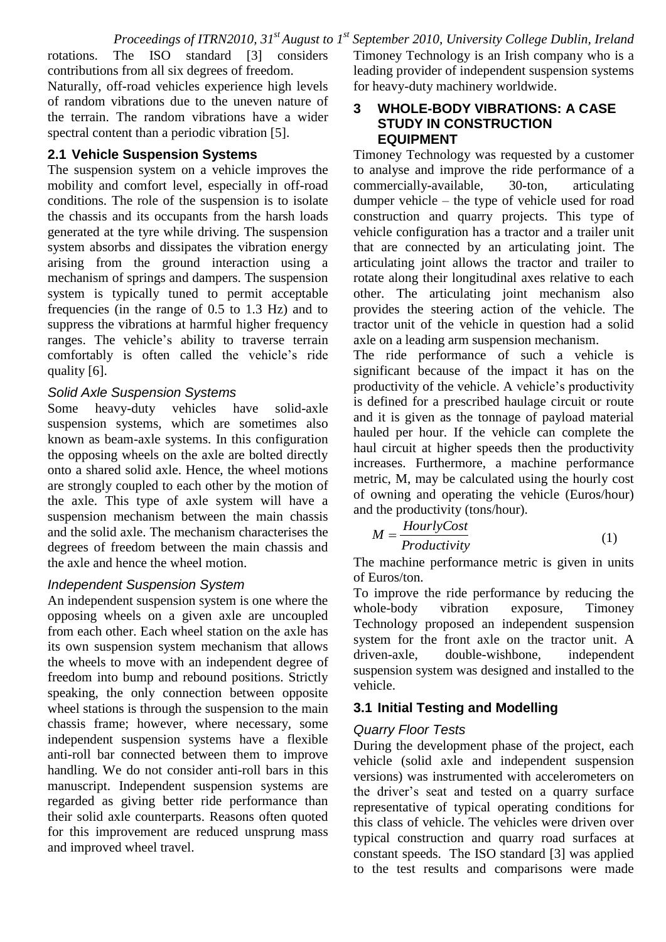*Proceedings of ITRN2010, 31st August to 1st September 2010, University College Dublin, Ireland*

rotations. The ISO standard [3] considers contributions from all six degrees of freedom.

Naturally, off-road vehicles experience high levels of random vibrations due to the uneven nature of the terrain. The random vibrations have a wider spectral content than a periodic vibration [5].

#### **2.1 Vehicle Suspension Systems**

The suspension system on a vehicle improves the mobility and comfort level, especially in off-road conditions. The role of the suspension is to isolate the chassis and its occupants from the harsh loads generated at the tyre while driving. The suspension system absorbs and dissipates the vibration energy arising from the ground interaction using a mechanism of springs and dampers. The suspension system is typically tuned to permit acceptable frequencies (in the range of 0.5 to 1.3 Hz) and to suppress the vibrations at harmful higher frequency ranges. The vehicle's ability to traverse terrain comfortably is often called the vehicle's ride quality [6].

#### *Solid Axle Suspension Systems*

Some heavy-duty vehicles have solid-axle suspension systems, which are sometimes also known as beam-axle systems. In this configuration the opposing wheels on the axle are bolted directly onto a shared solid axle. Hence, the wheel motions are strongly coupled to each other by the motion of the axle. This type of axle system will have a suspension mechanism between the main chassis and the solid axle. The mechanism characterises the degrees of freedom between the main chassis and the axle and hence the wheel motion.

#### *Independent Suspension System*

An independent suspension system is one where the opposing wheels on a given axle are uncoupled from each other. Each wheel station on the axle has its own suspension system mechanism that allows the wheels to move with an independent degree of freedom into bump and rebound positions. Strictly speaking, the only connection between opposite wheel stations is through the suspension to the main chassis frame; however, where necessary, some independent suspension systems have a flexible anti-roll bar connected between them to improve handling. We do not consider anti-roll bars in this manuscript. Independent suspension systems are regarded as giving better ride performance than their solid axle counterparts. Reasons often quoted for this improvement are reduced unsprung mass and improved wheel travel.

Timoney Technology is an Irish company who is a leading provider of independent suspension systems for heavy-duty machinery worldwide.

#### **3 WHOLE-BODY VIBRATIONS: A CASE STUDY IN CONSTRUCTION EQUIPMENT**

Timoney Technology was requested by a customer to analyse and improve the ride performance of a commercially-available, 30-ton, articulating dumper vehicle – the type of vehicle used for road construction and quarry projects. This type of vehicle configuration has a tractor and a trailer unit that are connected by an articulating joint. The articulating joint allows the tractor and trailer to rotate along their longitudinal axes relative to each other. The articulating joint mechanism also provides the steering action of the vehicle. The tractor unit of the vehicle in question had a solid axle on a leading arm suspension mechanism.

The ride performance of such a vehicle is significant because of the impact it has on the productivity of the vehicle. A vehicle's productivity is defined for a prescribed haulage circuit or route and it is given as the tonnage of payload material hauled per hour. If the vehicle can complete the haul circuit at higher speeds then the productivity increases. Furthermore, a machine performance metric, M, may be calculated using the hourly cost of owning and operating the vehicle (Euros/hour) and the productivity (tons/hour).

$$
M = \frac{HourlyCost}{Productivity}
$$
 (1)

The machine performance metric is given in units of Euros/ton.

To improve the ride performance by reducing the whole-body vibration exposure, Timoney Technology proposed an independent suspension system for the front axle on the tractor unit. A driven-axle, double-wishbone, independent suspension system was designed and installed to the vehicle.

## **3.1 Initial Testing and Modelling**

#### *Quarry Floor Tests*

During the development phase of the project, each vehicle (solid axle and independent suspension versions) was instrumented with accelerometers on the driver's seat and tested on a quarry surface representative of typical operating conditions for this class of vehicle. The vehicles were driven over typical construction and quarry road surfaces at constant speeds. The ISO standard [3] was applied to the test results and comparisons were made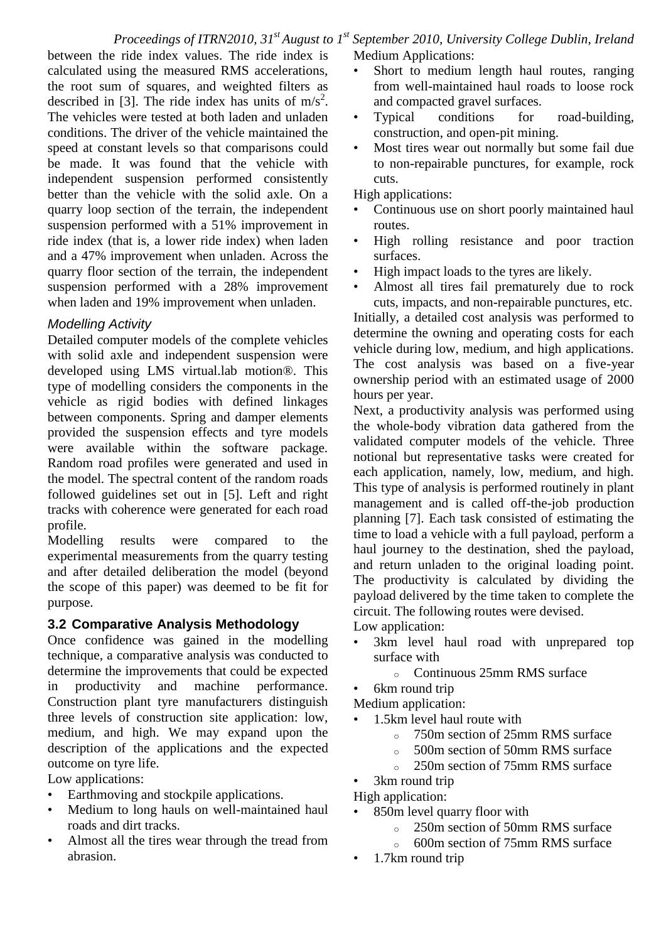*Proceedings of ITRN2010, 31st August to 1st September 2010, University College Dublin, Ireland* Medium Applications:

between the ride index values. The ride index is calculated using the measured RMS accelerations, the root sum of squares, and weighted filters as described in [3]. The ride index has units of  $m/s<sup>2</sup>$ . The vehicles were tested at both laden and unladen conditions. The driver of the vehicle maintained the speed at constant levels so that comparisons could be made. It was found that the vehicle with independent suspension performed consistently better than the vehicle with the solid axle. On a quarry loop section of the terrain, the independent suspension performed with a 51% improvement in ride index (that is, a lower ride index) when laden and a 47% improvement when unladen. Across the quarry floor section of the terrain, the independent suspension performed with a 28% improvement when laden and 19% improvement when unladen.

## *Modelling Activity*

Detailed computer models of the complete vehicles with solid axle and independent suspension were developed using LMS virtual.lab motion®. This type of modelling considers the components in the vehicle as rigid bodies with defined linkages between components. Spring and damper elements provided the suspension effects and tyre models were available within the software package. Random road profiles were generated and used in the model. The spectral content of the random roads followed guidelines set out in [5]. Left and right tracks with coherence were generated for each road profile.

Modelling results were compared to the experimental measurements from the quarry testing and after detailed deliberation the model (beyond the scope of this paper) was deemed to be fit for purpose.

#### **3.2 Comparative Analysis Methodology**

Once confidence was gained in the modelling technique, a comparative analysis was conducted to determine the improvements that could be expected in productivity and machine performance. Construction plant tyre manufacturers distinguish three levels of construction site application: low, medium, and high. We may expand upon the description of the applications and the expected outcome on tyre life.

Low applications:

- Earthmoving and stockpile applications.
- Medium to long hauls on well-maintained haul roads and dirt tracks.
- Almost all the tires wear through the tread from abrasion.
- Short to medium length haul routes, ranging from well-maintained haul roads to loose rock and compacted gravel surfaces.
- Typical conditions for road-building, construction, and open-pit mining.
- Most tires wear out normally but some fail due to non-repairable punctures, for example, rock cuts.

High applications:

- Continuous use on short poorly maintained haul routes.
- High rolling resistance and poor traction surfaces.
- High impact loads to the tyres are likely.
- Almost all tires fail prematurely due to rock cuts, impacts, and non-repairable punctures, etc.

Initially, a detailed cost analysis was performed to determine the owning and operating costs for each vehicle during low, medium, and high applications. The cost analysis was based on a five-year ownership period with an estimated usage of 2000 hours per year.

Next, a productivity analysis was performed using the whole-body vibration data gathered from the validated computer models of the vehicle. Three notional but representative tasks were created for each application, namely, low, medium, and high. This type of analysis is performed routinely in plant management and is called off-the-job production planning [7]. Each task consisted of estimating the time to load a vehicle with a full payload, perform a haul journey to the destination, shed the payload, and return unladen to the original loading point. The productivity is calculated by dividing the payload delivered by the time taken to complete the circuit. The following routes were devised.

Low application:

- 3km level haul road with unprepared top surface with
	- <sup>o</sup> Continuous 25mm RMS surface
- 6km round trip
- Medium application:
	- 1.5km level haul route with
		- <sup>o</sup> 750m section of 25mm RMS surface
		- <sup>o</sup> 500m section of 50mm RMS surface
		- <sup>o</sup> 250m section of 75mm RMS surface
- 3<sub>km</sub> round trip

High application:

- 850m level quarry floor with
	- <sup>o</sup> 250m section of 50mm RMS surface
	- <sup>o</sup> 600m section of 75mm RMS surface
- 1.7km round trip